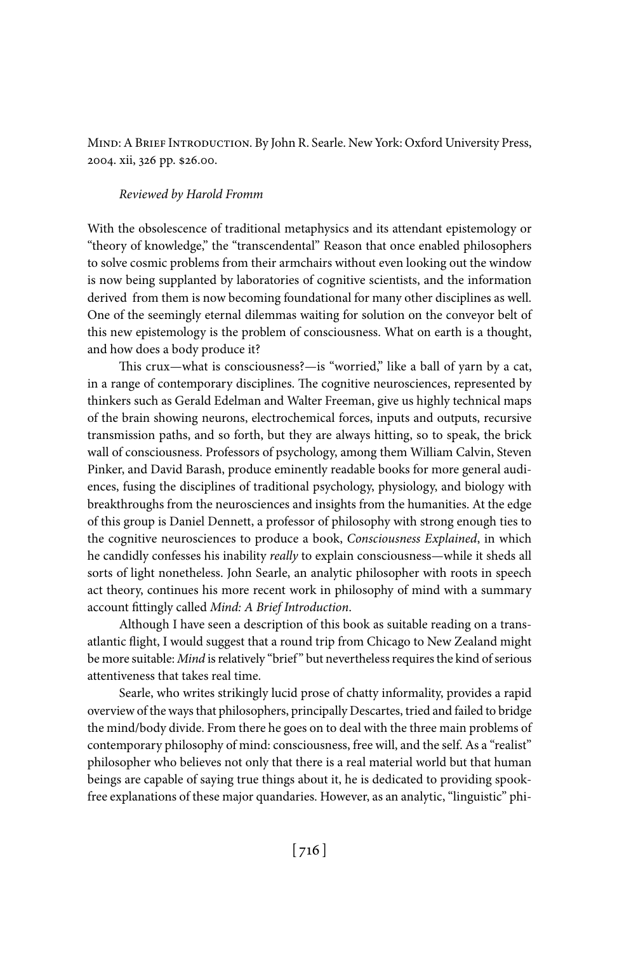MIND: A BRIEF INTRODUCTION. By John R. Searle. New York: Oxford University Press, 2004. xii, 326 pp. \$26.00.

## *Reviewed by Harold Fromm*

With the obsolescence of traditional metaphysics and its attendant epistemology or "theory of knowledge," the "transcendental" Reason that once enabled philosophers to solve cosmic problems from their armchairs without even looking out the window is now being supplanted by laboratories of cognitive scientists, and the information derived from them is now becoming foundational for many other disciplines as well. One of the seemingly eternal dilemmas waiting for solution on the conveyor belt of this new epistemology is the problem of consciousness. What on earth is a thought, and how does a body produce it?

This crux—what is consciousness?—is "worried," like a ball of yarn by a cat, in a range of contemporary disciplines. The cognitive neurosciences, represented by thinkers such as Gerald Edelman and Walter Freeman, give us highly technical maps of the brain showing neurons, electrochemical forces, inputs and outputs, recursive transmission paths, and so forth, but they are always hitting, so to speak, the brick wall of consciousness. Professors of psychology, among them William Calvin, Steven Pinker, and David Barash, produce eminently readable books for more general audiences, fusing the disciplines of traditional psychology, physiology, and biology with breakthroughs from the neurosciences and insights from the humanities. At the edge of this group is Daniel Dennett, a professor of philosophy with strong enough ties to the cognitive neurosciences to produce a book, *Consciousness Explained*, in which he candidly confesses his inability *really* to explain consciousness—while it sheds all sorts of light nonetheless. John Searle, an analytic philosopher with roots in speech act theory, continues his more recent work in philosophy of mind with a summary account ttingly called *Mind: A Brief Introduction*.

Although I have seen a description of this book as suitable reading on a transatlantic flight, I would suggest that a round trip from Chicago to New Zealand might be more suitable: *Mind* is relatively "brief" but nevertheless requires the kind of serious attentiveness that takes real time.

Searle, who writes strikingly lucid prose of chatty informality, provides a rapid overview of the ways that philosophers, principally Descartes, tried and failed to bridge the mind/body divide. From there he goes on to deal with the three main problems of contemporary philosophy of mind: consciousness, free will, and the self. As a "realist" philosopher who believes not only that there is a real material world but that human beings are capable of saying true things about it, he is dedicated to providing spookfree explanations of these major quandaries. However, as an analytic, "linguistic" phi-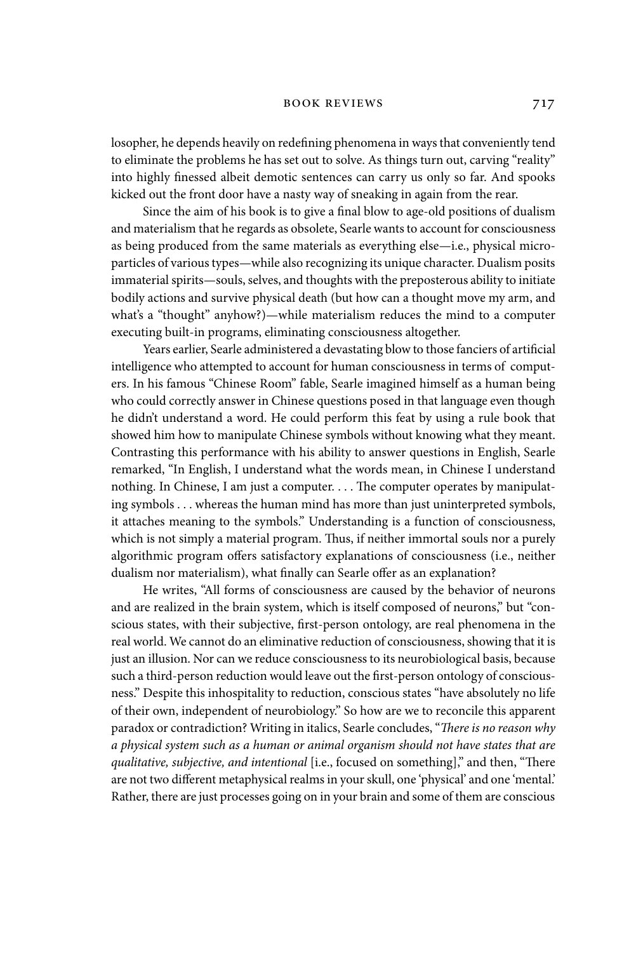## BOOK REVIEWS 717

losopher, he depends heavily on redefining phenomena in ways that conveniently tend to eliminate the problems he has set out to solve. As things turn out, carving "reality" into highly finessed albeit demotic sentences can carry us only so far. And spooks kicked out the front door have a nasty way of sneaking in again from the rear.

Since the aim of his book is to give a final blow to age-old positions of dualism and materialism that he regards as obsolete, Searle wants to account for consciousness as being produced from the same materials as everything else—i.e., physical microparticles of various types—while also recognizing its unique character. Dualism posits immaterial spirits—souls, selves, and thoughts with the preposterous ability to initiate bodily actions and survive physical death (but how can a thought move my arm, and what's a "thought" anyhow?)—while materialism reduces the mind to a computer executing built-in programs, eliminating consciousness altogether.

Years earlier, Searle administered a devastating blow to those fanciers of artificial intelligence who attempted to account for human consciousness in terms of computers. In his famous "Chinese Room" fable, Searle imagined himself as a human being who could correctly answer in Chinese questions posed in that language even though he didn't understand a word. He could perform this feat by using a rule book that showed him how to manipulate Chinese symbols without knowing what they meant. Contrasting this performance with his ability to answer questions in English, Searle remarked, "In English, I understand what the words mean, in Chinese I understand nothing. In Chinese, I am just a computer.  $\dots$  The computer operates by manipulating symbols . . . whereas the human mind has more than just uninterpreted symbols, it attaches meaning to the symbols." Understanding is a function of consciousness, which is not simply a material program. Thus, if neither immortal souls nor a purely algorithmic program offers satisfactory explanations of consciousness (i.e., neither dualism nor materialism), what finally can Searle offer as an explanation?

He writes, "All forms of consciousness are caused by the behavior of neurons and are realized in the brain system, which is itself composed of neurons," but "conscious states, with their subjective, first-person ontology, are real phenomena in the real world. We cannot do an eliminative reduction of consciousness, showing that it is just an illusion. Nor can we reduce consciousness to its neurobiological basis, because such a third-person reduction would leave out the first-person ontology of consciousness." Despite this inhospitality to reduction, conscious states "have absolutely no life of their own, independent of neurobiology." So how are we to reconcile this apparent paradox or contradiction? Writing in italics, Searle concludes, "There is no reason why *a physical system such as a human or animal organism should not have states that are qualitative, subjective, and intentional* [i.e., focused on something]," and then, "There are not two different metaphysical realms in your skull, one 'physical' and one 'mental.' Rather, there are just processes going on in your brain and some of them are conscious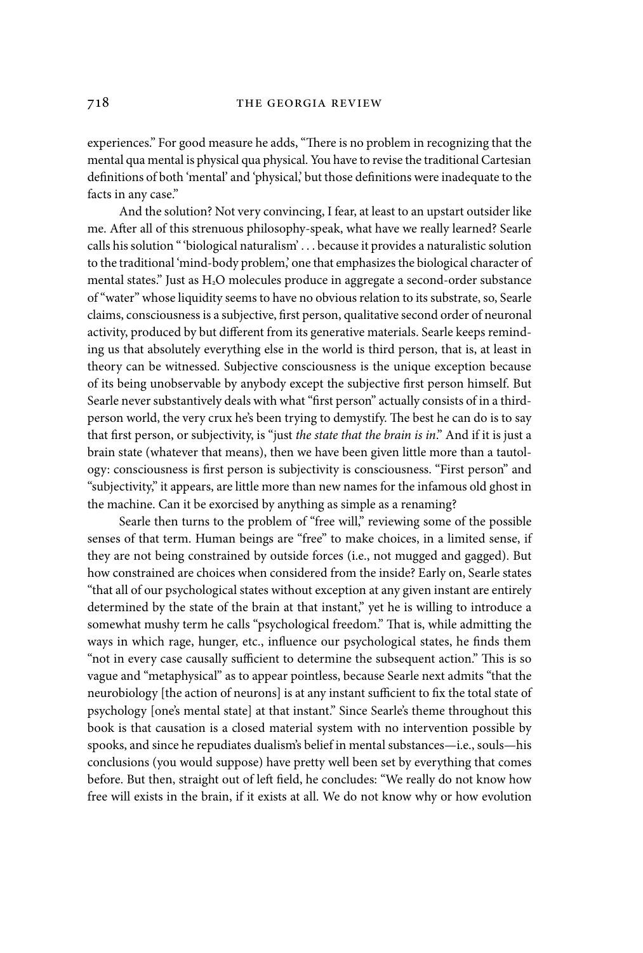experiences." For good measure he adds, "There is no problem in recognizing that the mental qua mental is physical qua physical. You have to revise the traditional Cartesian definitions of both 'mental' and 'physical,' but those definitions were inadequate to the facts in any case."

And the solution? Not very convincing, I fear, at least to an upstart outsider like me. After all of this strenuous philosophy-speak, what have we really learned? Searle calls his solution " 'biological naturalism' . . . because it provides a naturalistic solution to the traditional 'mind-body problem,' one that emphasizes the biological character of mental states." Just as  $H_2O$  molecules produce in aggregate a second-order substance of "water" whose liquidity seems to have no obvious relation to its substrate, so, Searle claims, consciousness is a subjective, first person, qualitative second order of neuronal activity, produced by but different from its generative materials. Searle keeps reminding us that absolutely everything else in the world is third person, that is, at least in theory can be witnessed. Subjective consciousness is the unique exception because of its being unobservable by anybody except the subjective first person himself. But Searle never substantively deals with what "first person" actually consists of in a thirdperson world, the very crux he's been trying to demystify. The best he can do is to say that first person, or subjectivity, is "just *the state that the brain is in*." And if it is just a brain state (whatever that means), then we have been given little more than a tautology: consciousness is first person is subjectivity is consciousness. "First person" and "subjectivity," it appears, are little more than new names for the infamous old ghost in the machine. Can it be exorcised by anything as simple as a renaming?

Searle then turns to the problem of "free will," reviewing some of the possible senses of that term. Human beings are "free" to make choices, in a limited sense, if they are not being constrained by outside forces (i.e., not mugged and gagged). But how constrained are choices when considered from the inside? Early on, Searle states "that all of our psychological states without exception at any given instant are entirely determined by the state of the brain at that instant," yet he is willing to introduce a somewhat mushy term he calls "psychological freedom." That is, while admitting the ways in which rage, hunger, etc., influence our psychological states, he finds them "not in every case causally sufficient to determine the subsequent action." This is so vague and "metaphysical" as to appear pointless, because Searle next admits "that the neurobiology [the action of neurons] is at any instant sufficient to fix the total state of psychology [one's mental state] at that instant." Since Searle's theme throughout this book is that causation is a closed material system with no intervention possible by spooks, and since he repudiates dualism's belief in mental substances—i.e., souls—his conclusions (you would suppose) have pretty well been set by everything that comes before. But then, straight out of left field, he concludes: "We really do not know how free will exists in the brain, if it exists at all. We do not know why or how evolution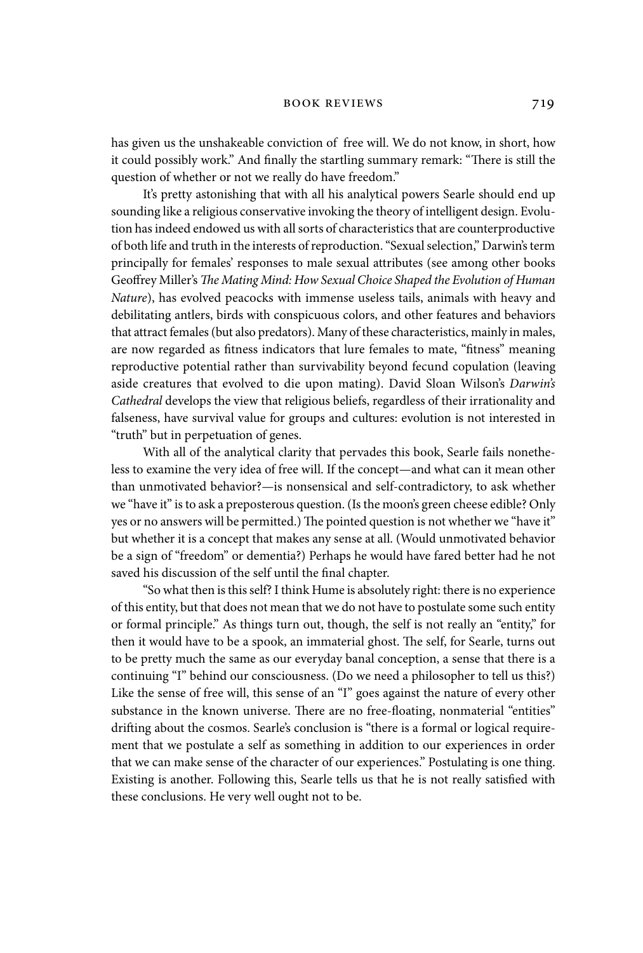## BOOK REVIEWS 719

has given us the unshakeable conviction of free will. We do not know, in short, how it could possibly work." And finally the startling summary remark: "There is still the question of whether or not we really do have freedom."

It's pretty astonishing that with all his analytical powers Searle should end up sounding like a religious conservative invoking the theory of intelligent design. Evolution has indeed endowed us with all sorts of characteristics that are counterproductive of both life and truth in the interests of reproduction. "Sexual selection," Darwin's term principally for females' responses to male sexual attributes (see among other books Geoffrey Miller's *The Mating Mind: How Sexual Choice Shaped the Evolution of Human Nature*), has evolved peacocks with immense useless tails, animals with heavy and debilitating antlers, birds with conspicuous colors, and other features and behaviors that attract females (but also predators). Many of these characteristics, mainly in males, are now regarded as fitness indicators that lure females to mate, "fitness" meaning reproductive potential rather than survivability beyond fecund copulation (leaving aside creatures that evolved to die upon mating). David Sloan Wilson's *Darwin's Cathedral* develops the view that religious beliefs, regardless of their irrationality and falseness, have survival value for groups and cultures: evolution is not interested in "truth" but in perpetuation of genes.

With all of the analytical clarity that pervades this book, Searle fails nonetheless to examine the very idea of free will. If the concept—and what can it mean other than unmotivated behavior?—is nonsensical and self-contradictory, to ask whether we "have it" is to ask a preposterous question. (Is the moon's green cheese edible? Only yes or no answers will be permitted.) The pointed question is not whether we "have it" but whether it is a concept that makes any sense at all. (Would unmotivated behavior be a sign of "freedom" or dementia?) Perhaps he would have fared better had he not saved his discussion of the self until the final chapter.

"So what then is this self? I think Hume is absolutely right: there is no experience of this entity, but that does not mean that we do not have to postulate some such entity or formal principle." As things turn out, though, the self is not really an "entity," for then it would have to be a spook, an immaterial ghost. The self, for Searle, turns out to be pretty much the same as our everyday banal conception, a sense that there is a continuing "I" behind our consciousness. (Do we need a philosopher to tell us this?) Like the sense of free will, this sense of an "I" goes against the nature of every other substance in the known universe. There are no free-floating, nonmaterial "entities" drifting about the cosmos. Searle's conclusion is "there is a formal or logical requirement that we postulate a self as something in addition to our experiences in order that we can make sense of the character of our experiences." Postulating is one thing. Existing is another. Following this, Searle tells us that he is not really satisfied with these conclusions. He very well ought not to be.